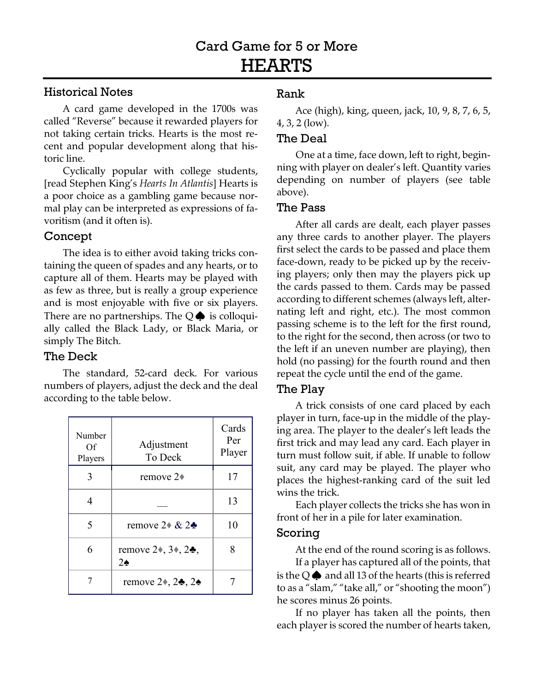# Historical Notes

A card game developed in the 1700s was called "Reverse" because it rewarded players for not taking certain tricks. Hearts is the most recent and popular development along that historic line.

Cyclically popular with college students, [read Stephen King's *Hearts In Atlantis*] Hearts is a poor choice as a gambling game because normal play can be interpreted as expressions of favoritism (and it often is).

## Concept

The idea is to either avoid taking tricks containing the queen of spades and any hearts, or to capture all of them. Hearts may be played with as few as three, but is really a group experience and is most enjoyable with five or six players. There are no partnerships. The  $Q\spadesuit$  is colloquially called the Black Lady, or Black Maria, or simply The Bitch.

# The Deck

The standard, 52-card deck. For various numbers of players, adjust the deck and the deal according to the table below.

| Number<br>Οf<br>Players | Adjustment<br>To Deck                       | Cards<br>Per<br>Player |
|-------------------------|---------------------------------------------|------------------------|
| 3                       | remove $2\bullet$                           | 17                     |
| 4                       |                                             | 13                     |
| 5                       | remove $2 \div \& 2 \div$                   | 10                     |
| 6                       | remove $2*, 3*, 2*$ ,<br>$2\spadesuit$      | 8                      |
|                         | remove $2\bullet$ , $2\bullet$ , $2\bullet$ |                        |

# Rank

Ace (high), king, queen, jack, 10, 9, 8, 7, 6, 5, 4, 3, 2 (low).

#### The Deal

One at a time, face down, left to right, beginning with player on dealer's left. Quantity varies depending on number of players (see table above).

#### The Pass

After all cards are dealt, each player passes any three cards to another player. The players first select the cards to be passed and place them face-down, ready to be picked up by the receiving players; only then may the players pick up the cards passed to them. Cards may be passed according to different schemes (always left, alternating left and right, etc.). The most common passing scheme is to the left for the first round, to the right for the second, then across (or two to the left if an uneven number are playing), then hold (no passing) for the fourth round and then repeat the cycle until the end of the game.

#### The Play

A trick consists of one card placed by each player in turn, face-up in the middle of the playing area. The player to the dealer's left leads the first trick and may lead any card. Each player in turn must follow suit, if able. If unable to follow suit, any card may be played. The player who places the highest-ranking card of the suit led wins the trick.

Each player collects the tricks she has won in front of her in a pile for later examination.

#### Scoring

At the end of the round scoring is as follows.

If a player has captured all of the points, that is the  $Q\spadesuit$  and all 13 of the hearts (this is referred to as a "slam," "take all," or "shooting the moon") he scores minus 26 points.

If no player has taken all the points, then each player is scored the number of hearts taken,